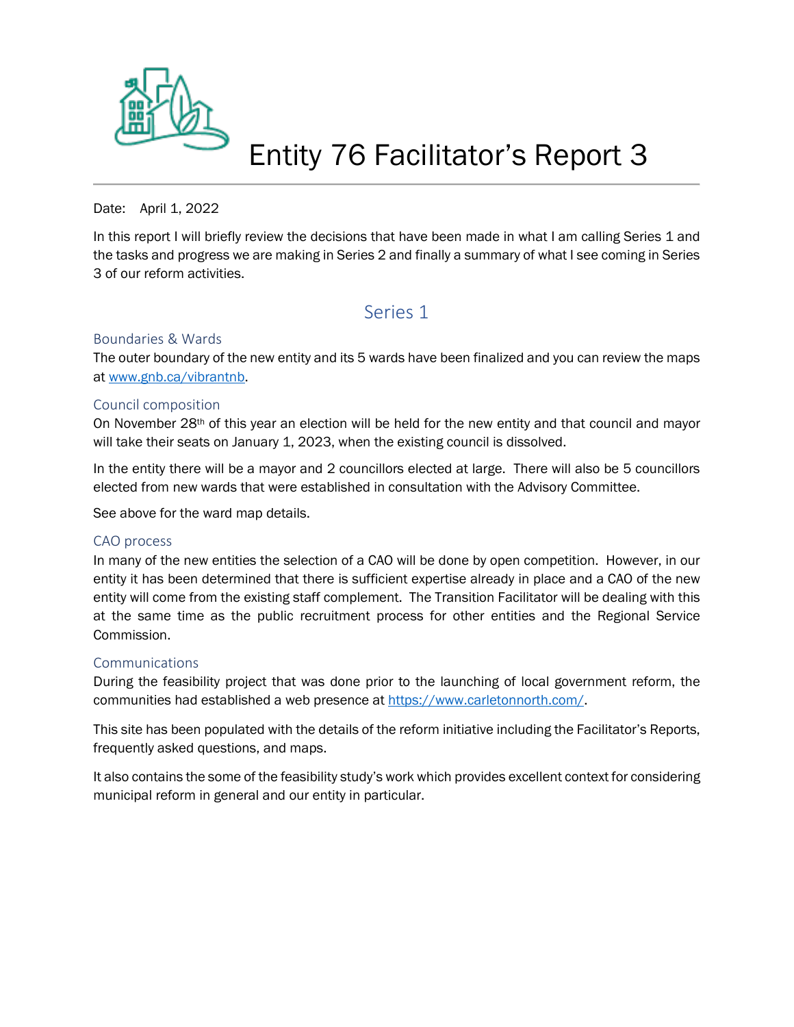

# Entity 76 Facilitator's Report 3

Date: April 1, 2022

In this report I will briefly review the decisions that have been made in what I am calling Series 1 and the tasks and progress we are making in Series 2 and finally a summary of what I see coming in Series 3 of our reform activities.

## Series 1

#### Boundaries & Wards

The outer boundary of the new entity and its 5 wards have been finalized and you can review the maps at [www.gnb.ca/vibrantnb.](http://www.gnb.ca/vibrantnb)

#### Council composition

On November 28th of this year an election will be held for the new entity and that council and mayor will take their seats on January 1, 2023, when the existing council is dissolved.

In the entity there will be a mayor and 2 councillors elected at large. There will also be 5 councillors elected from new wards that were established in consultation with the Advisory Committee.

See above for the ward map details.

#### CAO process

In many of the new entities the selection of a CAO will be done by open competition. However, in our entity it has been determined that there is sufficient expertise already in place and a CAO of the new entity will come from the existing staff complement. The Transition Facilitator will be dealing with this at the same time as the public recruitment process for other entities and the Regional Service Commission.

#### **Communications**

During the feasibility project that was done prior to the launching of local government reform, the communities had established a web presence at [https://www.carletonnorth.com/.](https://www.carletonnorth.com/)

This site has been populated with the details of the reform initiative including the Facilitator's Reports, frequently asked questions, and maps.

It also contains the some of the feasibility study's work which provides excellent context for considering municipal reform in general and our entity in particular.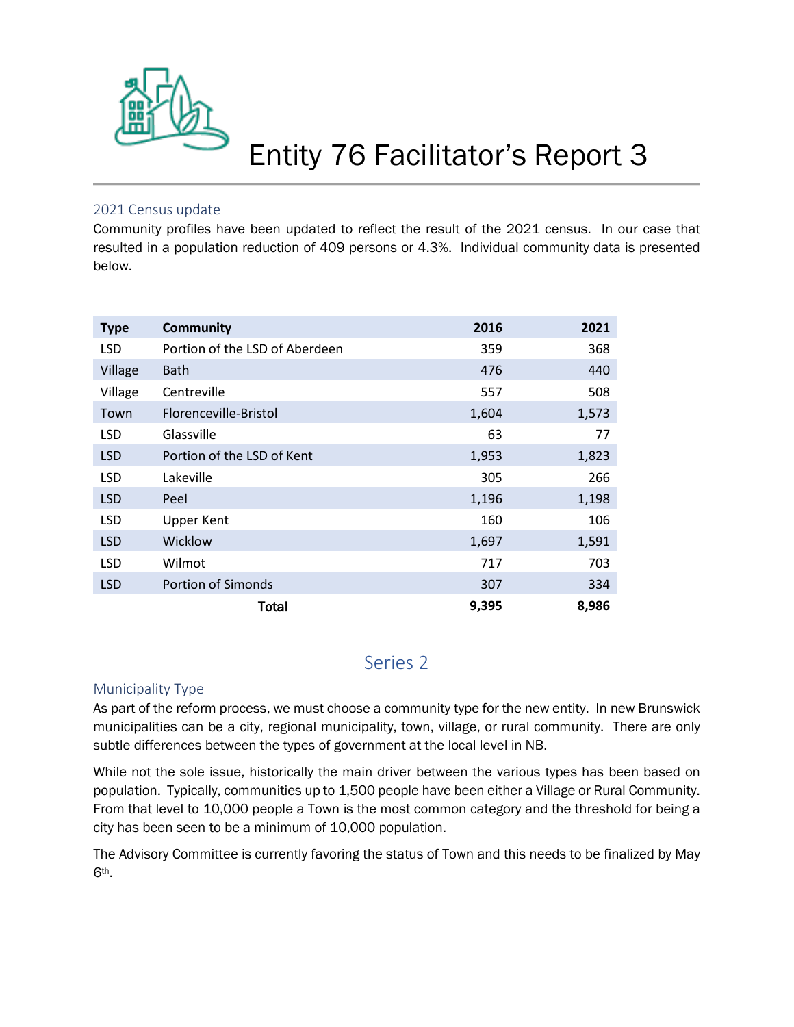

# Entity 76 Facilitator's Report 3

### 2021 Census update

Community profiles have been updated to reflect the result of the 2021 census. In our case that resulted in a population reduction of 409 persons or 4.3%. Individual community data is presented below.

| <b>Type</b> | <b>Community</b>               | 2016  | 2021  |
|-------------|--------------------------------|-------|-------|
| <b>LSD</b>  | Portion of the LSD of Aberdeen | 359   | 368   |
| Village     | <b>Bath</b>                    | 476   | 440   |
| Village     | Centreville                    | 557   | 508   |
| Town        | Florenceville-Bristol          | 1,604 | 1,573 |
| <b>LSD</b>  | Glassville                     | 63    | 77    |
| <b>LSD</b>  | Portion of the LSD of Kent     | 1,953 | 1,823 |
| <b>LSD</b>  | Lakeville                      | 305   | 266   |
| <b>LSD</b>  | Peel                           | 1,196 | 1,198 |
| <b>LSD</b>  | <b>Upper Kent</b>              | 160   | 106   |
| <b>LSD</b>  | Wicklow                        | 1,697 | 1,591 |
| <b>LSD</b>  | Wilmot                         | 717   | 703   |
| <b>LSD</b>  | <b>Portion of Simonds</b>      | 307   | 334   |
|             | Total                          | 9,395 | 8,986 |

# Series 2

## Municipality Type

As part of the reform process, we must choose a community type for the new entity. In new Brunswick municipalities can be a city, regional municipality, town, village, or rural community. There are only subtle differences between the types of government at the local level in NB.

While not the sole issue, historically the main driver between the various types has been based on population. Typically, communities up to 1,500 people have been either a Village or Rural Community. From that level to 10,000 people a Town is the most common category and the threshold for being a city has been seen to be a minimum of 10,000 population.

The Advisory Committee is currently favoring the status of Town and this needs to be finalized by May 6th.